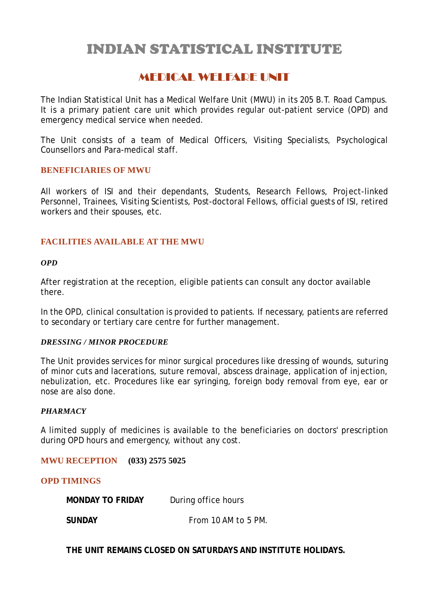# INDIAN STATISTICAL INSTITUTE

# MEDICAL WELFARE UNIT

The Indian Statistical Unit has a Medical Welfare Unit (MWU) in its 205 B.T. Road Campus. It is a primary patient care unit which provides regular out-patient service (OPD) and emergency medical service when needed.

The Unit consists of a team of Medical Officers, Visiting Specialists, Psychological Counsellors and Para-medical staff.

# **BENEFICIARIES OF MWU**

All workers of ISI and their dependants, Students, Research Fellows, Project-linked Personnel, Trainees, Visiting Scientists, Post-doctoral Fellows, official guests of ISI, retired workers and their spouses, etc.

# **FACILITIES AVAILABLE AT THE MWU**

#### *OPD*

After registration at the reception, eligible patients can consult any doctor available there.

In the OPD, clinical consultation is provided to patients. If necessary, patients are referred to secondary or tertiary care centre for further management.

#### *DRESSING / MINOR PROCEDURE*

The Unit provides services for minor surgical procedures like dressing of wounds, suturing of minor cuts and lacerations, suture removal, abscess drainage, application of injection, nebulization, etc. Procedures like ear syringing, foreign body removal from eye, ear or nose are also done.

#### *PHARMACY*

A limited supply of medicines is available to the beneficiaries on doctors' prescription during OPD hours and emergency, without any cost.

**MWU RECEPTION (033) 2575 5025**

# **OPD TIMINGS**

**MONDAY TO FRIDAY** During office hours

**SUNDAY From 10 AM to 5 PM.** 

**THE UNIT REMAINS CLOSED ON SATURDAYS AND INSTITUTE HOLIDAYS.**